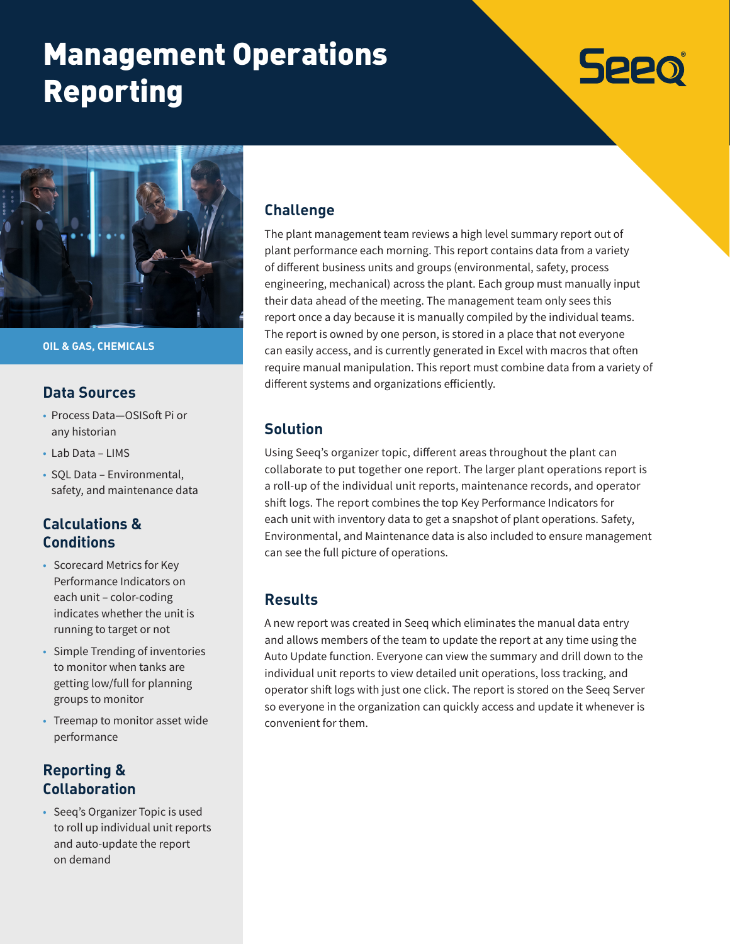# Management Operations Reporting



**OIL & GAS, CHEMICALS** 

#### **Data Sources**

- Process Data—OSISoft Pi or any historian
- Lab Data LIMS
- SQL Data Environmental, safety, and maintenance data

# **Calculations & Conditions**

- Scorecard Metrics for Key Performance Indicators on each unit – color-coding indicates whether the unit is running to target or not
- Simple Trending of inventories to monitor when tanks are getting low/full for planning groups to monitor
- Treemap to monitor asset wide performance

# **Reporting & Collaboration**

• Seeq's Organizer Topic is used to roll up individual unit reports and auto-update the report on demand

#### **Challenge**

The plant management team reviews a high level summary report out of plant performance each morning. This report contains data from a variety of different business units and groups (environmental, safety, process engineering, mechanical) across the plant. Each group must manually input their data ahead of the meeting. The management team only sees this report once a day because it is manually compiled by the individual teams. The report is owned by one person, is stored in a place that not everyone can easily access, and is currently generated in Excel with macros that often require manual manipulation. This report must combine data from a variety of different systems and organizations efficiently.

**Seeo** 

#### **Solution**

Using Seeq's organizer topic, different areas throughout the plant can collaborate to put together one report. The larger plant operations report is a roll-up of the individual unit reports, maintenance records, and operator shift logs. The report combines the top Key Performance Indicators for each unit with inventory data to get a snapshot of plant operations. Safety, Environmental, and Maintenance data is also included to ensure management can see the full picture of operations.

### **Results**

A new report was created in Seeq which eliminates the manual data entry and allows members of the team to update the report at any time using the Auto Update function. Everyone can view the summary and drill down to the individual unit reports to view detailed unit operations, loss tracking, and operator shift logs with just one click. The report is stored on the Seeq Server so everyone in the organization can quickly access and update it whenever is convenient for them.